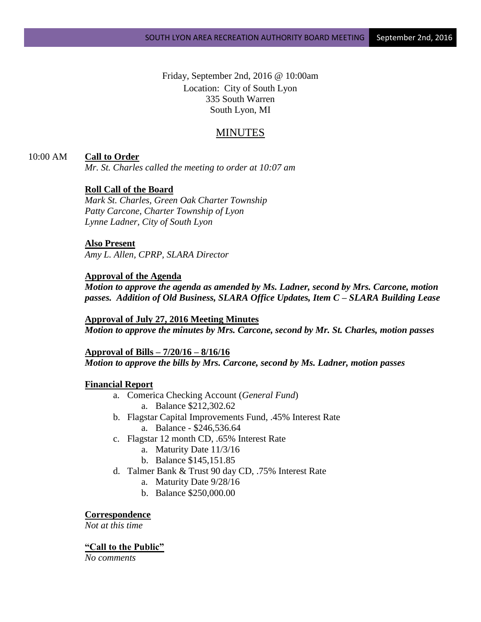Friday, September 2nd, 2016 @ 10:00am Location: City of South Lyon 335 South Warren South Lyon, MI

# MINUTES

### 10:00 AM **Call to Order**

*Mr. St. Charles called the meeting to order at 10:07 am*

### **Roll Call of the Board**

*Mark St. Charles, Green Oak Charter Township Patty Carcone, Charter Township of Lyon Lynne Ladner, City of South Lyon* 

### **Also Present**

*Amy L. Allen, CPRP, SLARA Director*

#### **Approval of the Agenda**

*Motion to approve the agenda as amended by Ms. Ladner, second by Mrs. Carcone, motion passes. Addition of Old Business, SLARA Office Updates, Item C – SLARA Building Lease*

### **Approval of July 27, 2016 Meeting Minutes** *Motion to approve the minutes by Mrs. Carcone, second by Mr. St. Charles, motion passes*

**Approval of Bills – 7/20/16 – 8/16/16** *Motion to approve the bills by Mrs. Carcone, second by Ms. Ladner, motion passes*

### **Financial Report**

- a. Comerica Checking Account (*General Fund*) a. Balance \$212,302.62
- b. Flagstar Capital Improvements Fund, .45% Interest Rate a. Balance - \$246,536.64
- c. Flagstar 12 month CD, .65% Interest Rate
	- a. Maturity Date 11/3/16
	- b. Balance \$145,151.85
- d. Talmer Bank & Trust 90 day CD, .75% Interest Rate
	- a. Maturity Date 9/28/16
	- b. Balance \$250,000.00

### **Correspondence**

*Not at this time*

### **"Call to the Public"**

*No comments*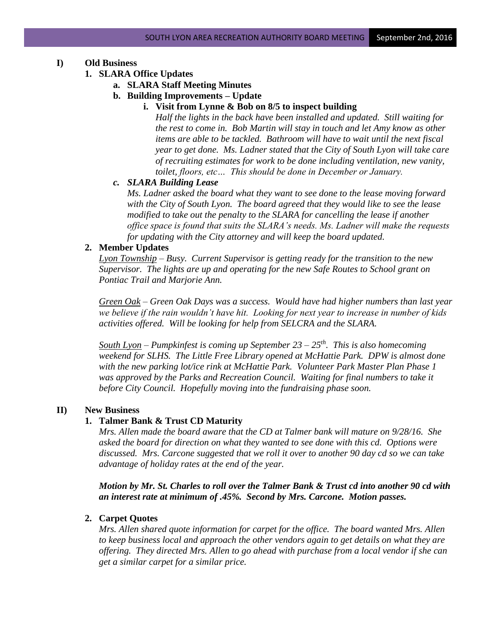### **I) Old Business**

- **1. SLARA Office Updates**
	- **a. SLARA Staff Meeting Minutes**
	- **b. Building Improvements – Update**
		- **i. Visit from Lynne & Bob on 8/5 to inspect building**

*Half the lights in the back have been installed and updated. Still waiting for the rest to come in. Bob Martin will stay in touch and let Amy know as other items are able to be tackled. Bathroom will have to wait until the next fiscal year to get done. Ms. Ladner stated that the City of South Lyon will take care of recruiting estimates for work to be done including ventilation, new vanity, toilet, floors, etc… This should be done in December or January.*

### *c. SLARA Building Lease*

*Ms. Ladner asked the board what they want to see done to the lease moving forward with the City of South Lyon. The board agreed that they would like to see the lease modified to take out the penalty to the SLARA for cancelling the lease if another office space is found that suits the SLARA's needs. Ms. Ladner will make the requests for updating with the City attorney and will keep the board updated.* 

### **2. Member Updates**

*Lyon Township – Busy. Current Supervisor is getting ready for the transition to the new Supervisor. The lights are up and operating for the new Safe Routes to School grant on Pontiac Trail and Marjorie Ann.* 

*Green Oak – Green Oak Days was a success. Would have had higher numbers than last year we believe if the rain wouldn't have hit. Looking for next year to increase in number of kids activities offered. Will be looking for help from SELCRA and the SLARA.*

*South Lyon – Pumpkinfest is coming up September 23 – 25th . This is also homecoming weekend for SLHS. The Little Free Library opened at McHattie Park. DPW is almost done with the new parking lot/ice rink at McHattie Park. Volunteer Park Master Plan Phase 1*  was approved by the Parks and Recreation Council. Waiting for final numbers to take it *before City Council. Hopefully moving into the fundraising phase soon.*

### **II) New Business**

# **1. Talmer Bank & Trust CD Maturity**

*Mrs. Allen made the board aware that the CD at Talmer bank will mature on 9/28/16. She asked the board for direction on what they wanted to see done with this cd. Options were discussed. Mrs. Carcone suggested that we roll it over to another 90 day cd so we can take advantage of holiday rates at the end of the year.* 

*Motion by Mr. St. Charles to roll over the Talmer Bank & Trust cd into another 90 cd with an interest rate at minimum of .45%. Second by Mrs. Carcone. Motion passes.*

### **2. Carpet Quotes**

*Mrs. Allen shared quote information for carpet for the office. The board wanted Mrs. Allen to keep business local and approach the other vendors again to get details on what they are offering. They directed Mrs. Allen to go ahead with purchase from a local vendor if she can get a similar carpet for a similar price.*